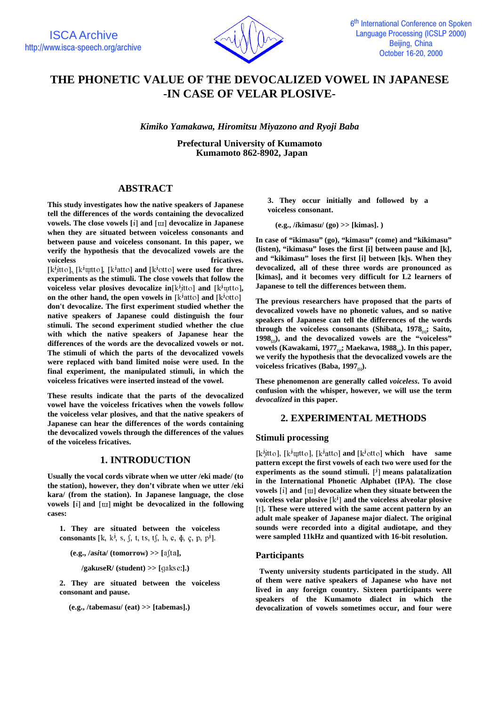

# **THE PHONETIC VALUE OF THE DEVOCALIZED VOWEL IN JAPANESE -IN CASE OF VELAR PLOSIVE-**

*Kimiko Yamakawa, Hiromitsu Miyazono and Ryoji Baba*

**Prefectural University of Kumamoto Kumamoto 862-8902, Japan**

# **ABSTRACT**

**This study investigates how the native speakers of Japanese tell the differences of the words containing the devocalized vowels. The close vowels [i] and [u] devocalize in Japanese when they are situated between voiceless consonants and between pause and voiceless consonant. In this paper, we verify the hypothesis that the devocalized vowels are the** voiceless *voiceless voiceless voiceless s* 

[k<sup>j</sup>itto], [k<sup>j</sup>utto], [k<sup>j</sup>atto] **and** [k<sup>j</sup>otto] **were used for three experiments as the stimuli. The close vowels that follow the voiceless velar plosives devocalize in** $[k^j]$ tto] and  $[k^j]$ <sup>utto</sup>], **on the other hand, the open vowels in**  $[k^j$ atto **and**  $[k^j$ <sup>o</sup>tto **1 don't devocalize. The first experiment studied whether the native speakers of Japanese could distinguish the four stimuli. The second experiment studied whether the clue with which the native speakers of Japanese hear the differences of the words are the devocalized vowels or not. The stimuli of which the parts of the devocalized vowels were replaced with band limited noise were used. In the final experiment, the manipulated stimuli, in which the voiceless fricatives were inserted instead of the vowel.**

**These results indicate that the parts of the devocalized vowel have the voiceless fricatives when the vowels follow the voiceless velar plosives, and that the native speakers of Japanese can hear the differences of the words containing the devocalized vowels through the differences of the values of the voiceless fricatives.**

### **1. INTRODUCTION**

**Usually the vocal cords vibrate when we utter /eki made/ (to the station), however, they don't vibrate when we utter /eki kara/ (from the station). In Japanese language, the close vowels** [i] and  $\lceil \text{u} \rceil$  might be devocalized in the following **cases:**

**1. They are situated between the voiceless consonants** [k, k<sup>j</sup>, s, f, t, ts, tf, h, c,  $\phi$ , c, p, p<sup>j</sup>].

 $(e.g., *lasita*/(tomorrow) >> [afta],$ 

 $\ell$ gak*u*seR/ (student) >> [gakse:].)

**2. They are situated between the voiceless consonant and pause.**

**(e.g., /tabemas***u***/ (eat) >> [tabemas].)**

**3. They occur initially and followed by a voiceless consonant.**

**(e.g., /***i***kimas***u***/ (go) >> [kimas]. )**

**In case of "ikimasu" (go), "kimasu" (come) and "kikimasu" (listen), "ikimasu" loses the first [i] between pause and [k], and "kikimasu" loses the first [i] between [k]s. When they devocalized, all of these three words are pronounced as [kimas], and it becomes very difficult for L2 learners of Japanese to tell the differences between them.**

**The previous researchers have proposed that the parts of devocalized vowels have no phonetic values, and so native speakers of Japanese can tell the differences of the words** through the voiceless consonants (Shibata, 1978<sub>11</sub>; Saito, **1998[2]), and the devocalized vowels are the "voiceless"** vowels (Kawakami, 1977<sub>a</sub>; Maekawa, 1988<sub>a</sub>). In this paper, **we verify the hypothesis that the devocalized vowels are the** voiceless fricatives (Baba, 1997<sub>(5)</sub>).

**These phenomenon are generally called** *voiceless***. To avoid confusion with the whisper, however, we will use the term** *devocalized* **in this paper.**

### **2. EXPERIMENTAL METHODS**

### **Stimuli processing**

 $[k^j$ itto],  $[k^j$ uutto],  $[k^ja$ tto] **and**  $[k^j$ otto] **which have same pattern except the first vowels of each two were used for the** experiments as the sound stimuli.  $[$ <sup>j</sup> $]$  means palatalization **in the International Phonetic Alphabet (IPA). The close vowels**  $\begin{bmatrix} i \end{bmatrix}$  and  $\begin{bmatrix} \text{u} \end{bmatrix}$  devocalize when they situate between the voiceless velar plosive  $[k^j]$  and the voiceless alveolar plosive [t]. These were uttered with the same accent pattern by an **adult male speaker of Japanese major dialect. The original sounds were recorded into a digital audiotape, and they were sampled 11kHz and quantized with 16-bit resolution.**

### **Participants**

 **Twenty university students participated in the study. All of them were native speakers of Japanese who have not lived in any foreign country. Sixteen participants were speakers of the Kumamoto dialect in which the devocalization of vowels sometimes occur, and four were**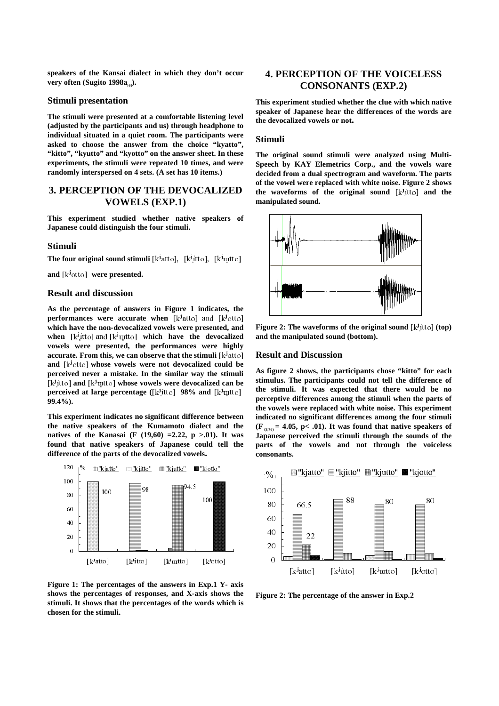**speakers of the Kansai dialect in which they don't occur** very often (Sugito 1998a<sub>60</sub>).

### **Stimuli presentation**

**The stimuli were presented at a comfortable listening level (adjusted by the participants and us) through headphone to individual situated in a quiet room. The participants were asked to choose the answer from the choice "kyatto", "kitto", "kyutto" and "kyotto" on the answer sheet. In these experiments, the stimuli were repeated 10 times, and were randomly interspersed on 4 sets. (A set has 10 items.)**

# **3. PERCEPTION OF THE DEVOCALIZED VOWELS (EXP.1)**

**This experiment studied whether native speakers of Japanese could distinguish the four stimuli.**

#### **Stimuli**

**The four original sound stimuli**  $[k^j$ atto],  $[k^j$ itto],  $[k^j$ utto]

**and**  $[k^j \circ tt \circ]$  were presented.

### **Result and discussion**

**As the percentage of answers in Figure 1 indicates, the performances were accurate when** [k<sup>j</sup>atto] and [k<sup>j</sup>otto] **which have the non-devocalized vowels were presented, and when**  $[k^j$ <sup>i</sup>tto] and  $[k^j$ **utto] which have the devocalized vowels were presented, the performances were highly accurate. From this, we can observe that the stimuli**  $\lfloor k^{\frac{1}{2}} \right]$ and  $[k^j$ <sup>otto</sup>] whose vowels were not devocalized could be **perceived never a mistake. In the similar way the stimuli**  $[k^j$ itto] and  $[k^j$ utto] whose vowels were devocalized can be **perceived at large percentage ([k<sup>j</sup><sub>I</sub>tto] 98% and [k<sup>j</sup>uitto] 99.4%).**

**This experiment indicates no significant difference between the native speakers of the Kumamoto dialect and the natives of the Kanasai (F (19,60) =2.22, p >.01). It was found that native speakers of Japanese could tell the difference of the parts of the devocalized vowels.**



**Figure 1: The percentages of the answers in Exp.1 Y- axis shows the percentages of responses, and X-axis shows the stimuli. It shows that the percentages of the words which is chosen for the stimuli.** 

# **4. PERCEPTION OF THE VOICELESS CONSONANTS (EXP.2)**

**This experiment studied whether the clue with which native speaker of Japanese hear the differences of the words are the devocalized vowels or not.**

#### **Stimuli**

**The original sound stimuli were analyzed using Multi-Speech by KAY Elemetrics Corp., and the vowels ware decided from a dual spectrogram and waveform. The parts of the vowel were replaced with white noise. Figure 2 shows the waveforms of the original sound [k<sup>j</sup><sub>1</sub>tto] and the manipulated sound.**



**Figure 2: The waveforms of the original sound**  $\lceil k^j \cdot k^j \rceil$  **(top) and the manipulated sound (bottom).**

### **Result and Discussion**

**As figure 2 shows, the participants chose "kitto" for each stimulus. The participants could not tell the difference of the stimuli. It was expected that there would be no perceptive differences among the stimuli when the parts of the vowels were replaced with white noise. This experiment indicated no significant differences among the four stimuli**  $(F_{(3,76)} = 4.05, p < .01)$ . It was found that native speakers of **Japanese perceived the stimuli through the sounds of the parts of the vowels and not through the voiceless consonants.**



**Figure 2: The percentage of the answer in Exp.2**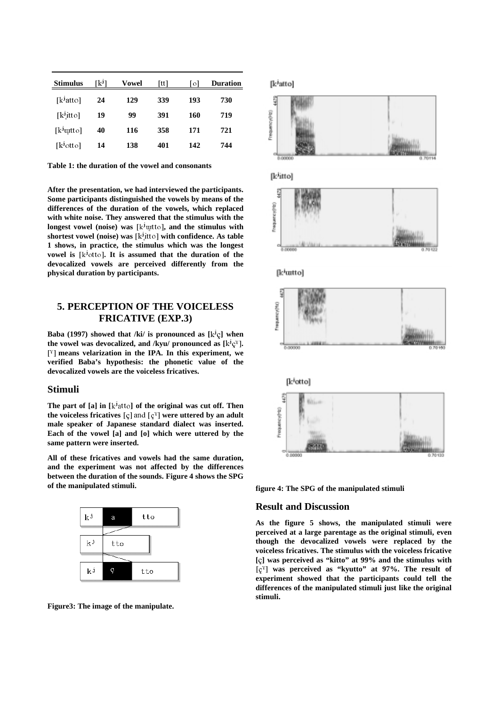| <b>Stimulus</b>        | [kʲ] | <b>Vowel</b> | tt  | 0   | <b>Duration</b> |
|------------------------|------|--------------|-----|-----|-----------------|
| [k <sup>j</sup> atto]  | 24   | 129          | 339 | 193 | 730             |
| [k <sup>j</sup> it to] | 19   | 99           | 391 | 160 | 719             |
| [k <sup>j</sup> utto]  | 40   | 116          | 358 | 171 | 721             |
| [k <sup>j</sup> otto]  | 14   | 138          | 401 | 142 | 744             |

**Table 1: the duration of the vowel and consonants**

**After the presentation, we had interviewed the participants. Some participants distinguished the vowels by means of the differences of the duration of the vowels, which replaced with white noise. They answered that the stimulus with the longest vowel (noise) was [k<sup>j</sup>utto]**, and the stimulus with **shortest vowel (noise) was [k<sup>j</sup><sub>1</sub>tto] with confidence. As table 1 shows, in practice, the stimulus which was the longest vowel is**  $[k^j$ <sup>otto</sup>]. It is assumed that the duration of the **devocalized vowels are perceived differently from the physical duration by participants.**

### **5. PERCEPTION OF THE VOICELESS FRICATIVE (EXP.3)**

**Baba** (1997) showed that /ki/ is pronounced as  $[k^j \ceta]$  when the vowel was devocalized, and /kyu/ pronounced as  $[k^j c^{\gamma}]$ . <sup>[Y</sup>] means velarization in the IPA. In this experiment, we **verified Baba's hypothesis: the phonetic value of the devocalized vowels are the voiceless fricatives.**

#### **Stimuli**

The part of  $[a]$  in  $[k^j$ <sup>atto</sup>] of the original was cut off. Then **the voiceless fricatives**  $\lbrack \varsigma \rbrack$  and  $\lbrack \varsigma^{\gamma} \rbrack$  were uttered by an adult **male speaker of Japanese standard dialect was inserted. Each of the vowel [a] and [o] which were uttered by the same pattern were inserted.**

**All of these fricatives and vowels had the same duration, and the experiment was not affected by the differences between the duration of the sounds. Figure 4 shows the SPG of the manipulated stimuli.**





# [katto]



**figure 4: The SPG of the manipulated stimuli**

### **Result and Discussion**

**As the figure 5 shows, the manipulated stimuli were perceived at a large parentage as the original stimuli, even though the devocalized vowels were replaced by the voiceless fricatives. The stimulus with the voiceless fricative [**%**] was perceived as "kitto" at 99% and the stimulus with** =%? **was perceived as "kyutto" at 97%. The result of experiment showed that the participants could tell the differences of the manipulated stimuli just like the original stimuli.**